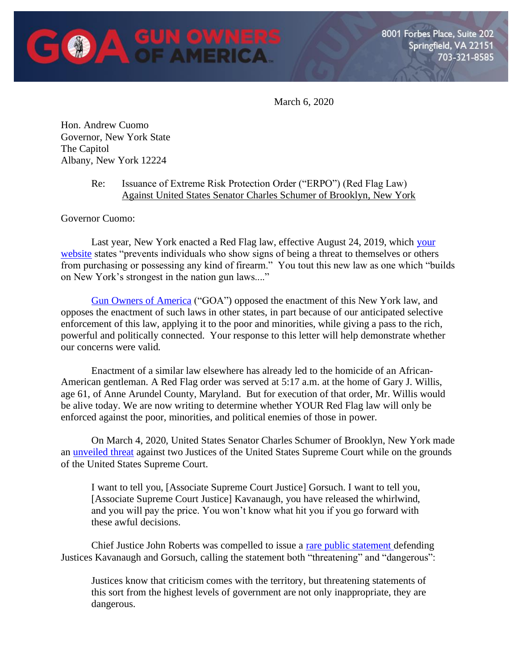

March 6, 2020

Hon. Andrew Cuomo Governor, New York State The Capitol Albany, New York 12224

## Re: Issuance of Extreme Risk Protection Order ("ERPO") (Red Flag Law) Against United States Senator Charles Schumer of Brooklyn, New York

Governor Cuomo:

Last year, New York enacted a Red Flag law, effective August 24, 2019, which [your](https://www.ny.gov/programs/red-flag-gun-protection-law#)  [website](https://www.ny.gov/programs/red-flag-gun-protection-law#) states "prevents individuals who show signs of being a threat to themselves or others from purchasing or possessing any kind of firearm." You tout this new law as one which "builds on New York's strongest in the nation gun laws...."

[Gun Owners of America](https://gunowners.org/) ("GOA") opposed the enactment of this New York law, and opposes the enactment of such laws in other states, in part because of our anticipated selective enforcement of this law, applying it to the poor and minorities, while giving a pass to the rich, powerful and politically connected. Your response to this letter will help demonstrate whether our concerns were valid.

Enactment of a similar law elsewhere has already led to the homicide of an African-American gentleman. A Red Flag order was served at 5:17 a.m. at the home of Gary J. Willis, age 61, of Anne Arundel County, Maryland. But for execution of that order, Mr. Willis would be alive today. We are now writing to determine whether YOUR Red Flag law will only be enforced against the poor, minorities, and political enemies of those in power.

On March 4, 2020, United States Senator Charles Schumer of Brooklyn, New York made an [unveiled threat](https://www.youtube.com/watch?v=qHGrzoS9AbE) against two Justices of the United States Supreme Court while on the grounds of the United States Supreme Court.

I want to tell you, [Associate Supreme Court Justice] Gorsuch. I want to tell you, [Associate Supreme Court Justice] Kavanaugh, you have released the whirlwind, and you will pay the price. You won't know what hit you if you go forward with these awful decisions.

Chief Justice John Roberts was compelled to issue a [rare public statement d](https://www.nytimes.com/2020/03/04/us/roberts-schumer-supreme-court.html)efending Justices Kavanaugh and Gorsuch, calling the statement both "threatening" and "dangerous":

Justices know that criticism comes with the territory, but threatening statements of this sort from the highest levels of government are not only inappropriate, they are dangerous.